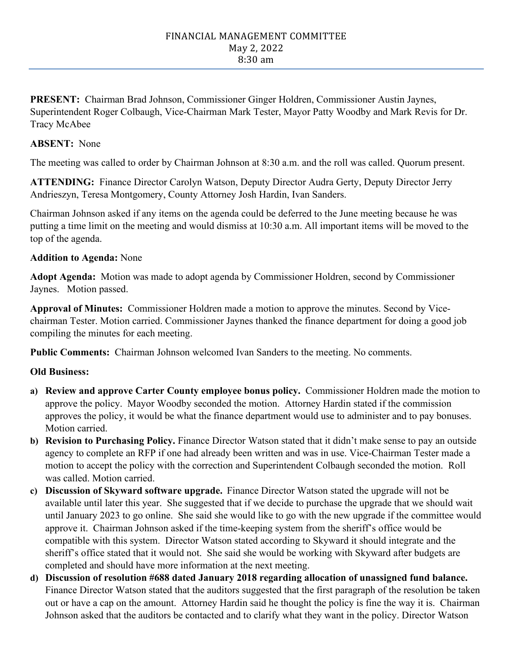#### FINANCIAL MANAGEMENT COMMITTEE May 2, 2022 8:30 am

**PRESENT:** Chairman Brad Johnson, Commissioner Ginger Holdren, Commissioner Austin Jaynes, Superintendent Roger Colbaugh, Vice-Chairman Mark Tester, Mayor Patty Woodby and Mark Revis for Dr. Tracy McAbee

#### **ABSENT:** None

The meeting was called to order by Chairman Johnson at 8:30 a.m. and the roll was called. Quorum present.

**ATTENDING:** Finance Director Carolyn Watson, Deputy Director Audra Gerty, Deputy Director Jerry Andrieszyn, Teresa Montgomery, County Attorney Josh Hardin, Ivan Sanders.

Chairman Johnson asked if any items on the agenda could be deferred to the June meeting because he was putting a time limit on the meeting and would dismiss at 10:30 a.m. All important items will be moved to the top of the agenda.

# **Addition to Agenda:** None

**Adopt Agenda:** Motion was made to adopt agenda by Commissioner Holdren, second by Commissioner Jaynes. Motion passed.

**Approval of Minutes:** Commissioner Holdren made a motion to approve the minutes. Second by Vicechairman Tester. Motion carried. Commissioner Jaynes thanked the finance department for doing a good job compiling the minutes for each meeting.

**Public Comments:** Chairman Johnson welcomed Ivan Sanders to the meeting. No comments.

# **Old Business:**

- **a) Review and approve Carter County employee bonus policy.** Commissioner Holdren made the motion to approve the policy. Mayor Woodby seconded the motion. Attorney Hardin stated if the commission approves the policy, it would be what the finance department would use to administer and to pay bonuses. Motion carried.
- **b) Revision to Purchasing Policy.** Finance Director Watson stated that it didn't make sense to pay an outside agency to complete an RFP if one had already been written and was in use. Vice-Chairman Tester made a motion to accept the policy with the correction and Superintendent Colbaugh seconded the motion. Roll was called. Motion carried.
- **c) Discussion of Skyward software upgrade.** Finance Director Watson stated the upgrade will not be available until later this year. She suggested that if we decide to purchase the upgrade that we should wait until January 2023 to go online. She said she would like to go with the new upgrade if the committee would approve it. Chairman Johnson asked if the time-keeping system from the sheriff's office would be compatible with this system. Director Watson stated according to Skyward it should integrate and the sheriff's office stated that it would not. She said she would be working with Skyward after budgets are completed and should have more information at the next meeting.
- **d) Discussion of resolution #688 dated January 2018 regarding allocation of unassigned fund balance.** Finance Director Watson stated that the auditors suggested that the first paragraph of the resolution be taken out or have a cap on the amount. Attorney Hardin said he thought the policy is fine the way it is. Chairman Johnson asked that the auditors be contacted and to clarify what they want in the policy. Director Watson